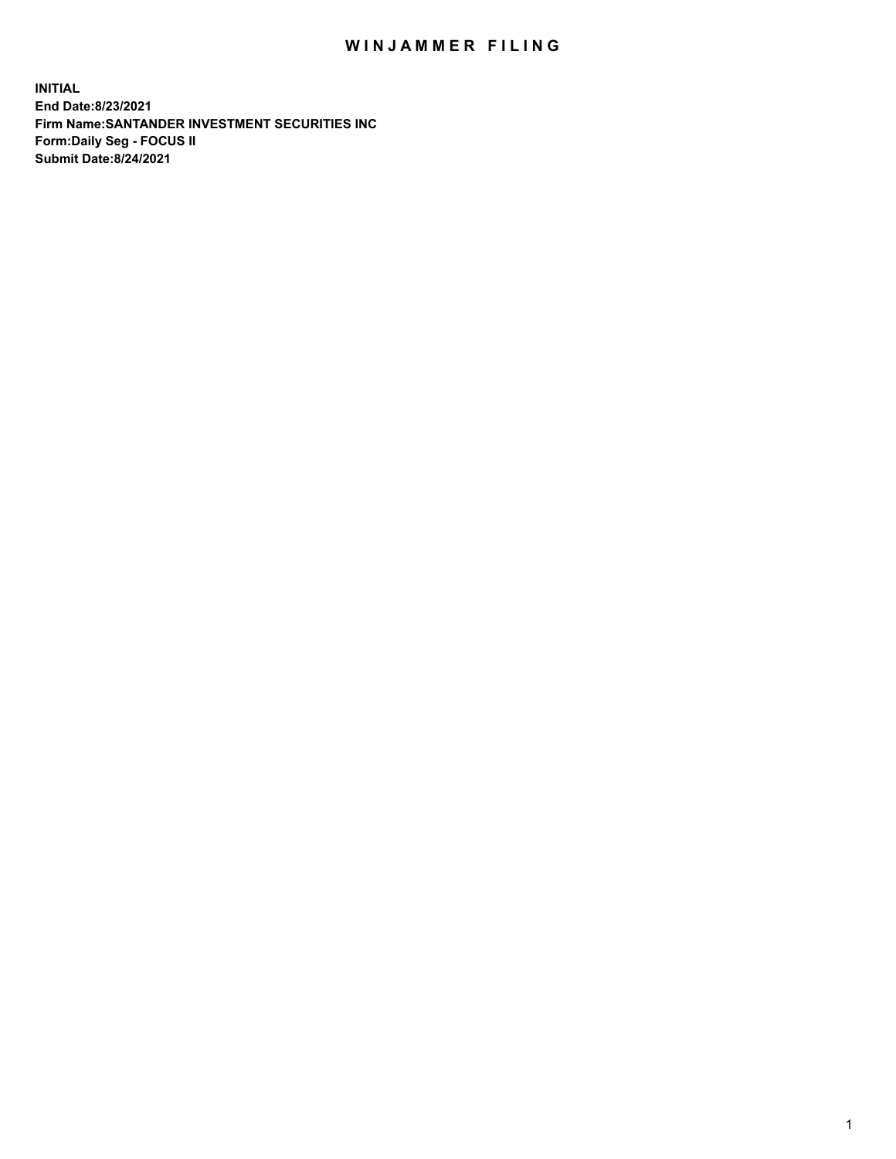## WIN JAMMER FILING

**INITIAL End Date:8/23/2021 Firm Name:SANTANDER INVESTMENT SECURITIES INC Form:Daily Seg - FOCUS II Submit Date:8/24/2021**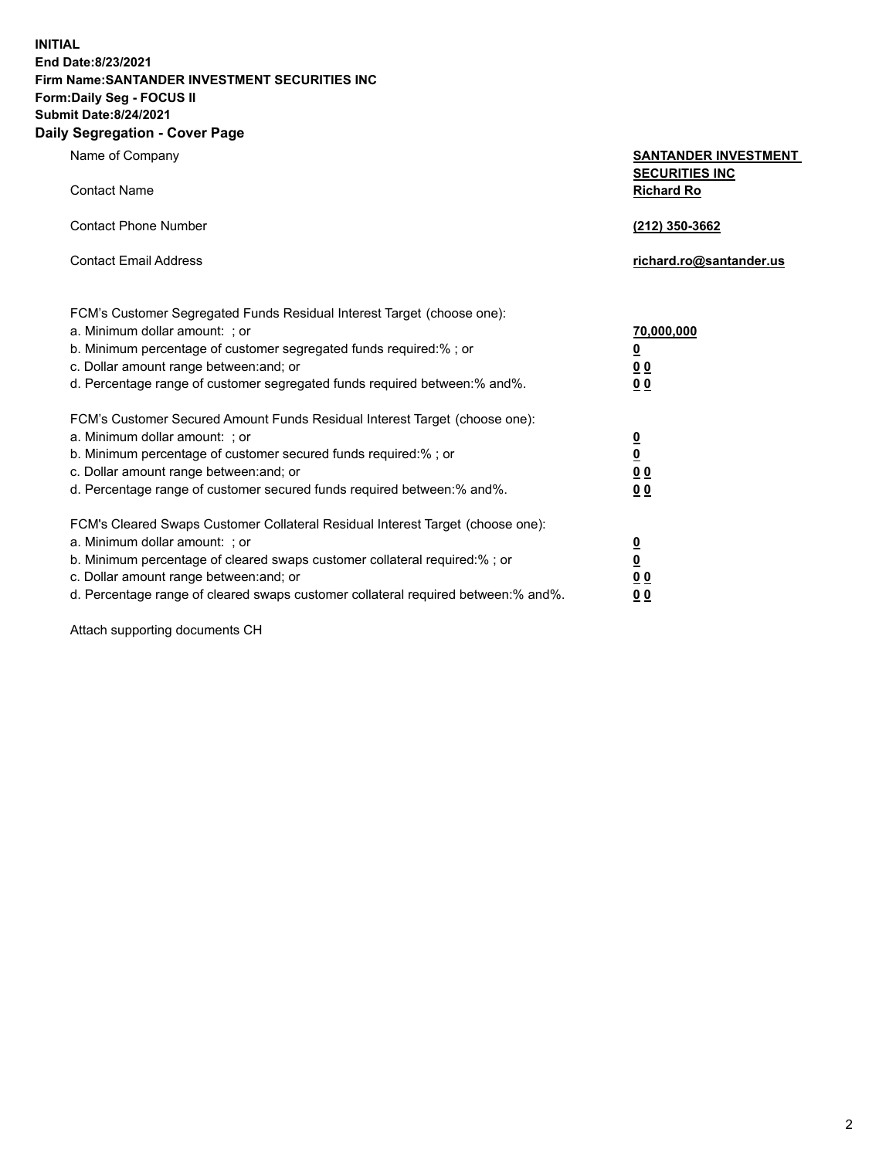**INITIAL End Date:8/23/2021 Firm Name:SANTANDER INVESTMENT SECURITIES INC Form:Daily Seg - FOCUS II Submit Date:8/24/2021 Daily Segregation - Cover Page**

| $0091090001 - 00101 + 090$                                                        |                                            |
|-----------------------------------------------------------------------------------|--------------------------------------------|
| Name of Company                                                                   | <b>SANTANDER INVESTMENT</b>                |
| <b>Contact Name</b>                                                               | <b>SECURITIES INC</b><br><b>Richard Ro</b> |
| <b>Contact Phone Number</b>                                                       | (212) 350-3662                             |
| <b>Contact Email Address</b>                                                      | richard.ro@santander.us                    |
| FCM's Customer Segregated Funds Residual Interest Target (choose one):            |                                            |
| a. Minimum dollar amount: ; or                                                    | 70,000,000                                 |
| b. Minimum percentage of customer segregated funds required:%; or                 | $\overline{\mathbf{0}}$                    |
| c. Dollar amount range between: and; or                                           | 0 <sub>0</sub>                             |
| d. Percentage range of customer segregated funds required between: % and %.       | 0 <sub>0</sub>                             |
| FCM's Customer Secured Amount Funds Residual Interest Target (choose one):        |                                            |
| a. Minimum dollar amount: ; or                                                    | $\overline{\mathbf{0}}$                    |
| b. Minimum percentage of customer secured funds required:%; or                    | $\underline{\mathbf{0}}$                   |
| c. Dollar amount range between: and; or                                           | 0 <sub>0</sub>                             |
| d. Percentage range of customer secured funds required between: % and %.          | 0 <sub>0</sub>                             |
| FCM's Cleared Swaps Customer Collateral Residual Interest Target (choose one):    |                                            |
| a. Minimum dollar amount: ; or                                                    | $\overline{\mathbf{0}}$                    |
| b. Minimum percentage of cleared swaps customer collateral required:%; or         | $\underline{\mathbf{0}}$                   |
| c. Dollar amount range between: and; or                                           | 0 <sub>0</sub>                             |
| d. Percentage range of cleared swaps customer collateral required between:% and%. | 00                                         |

Attach supporting documents CH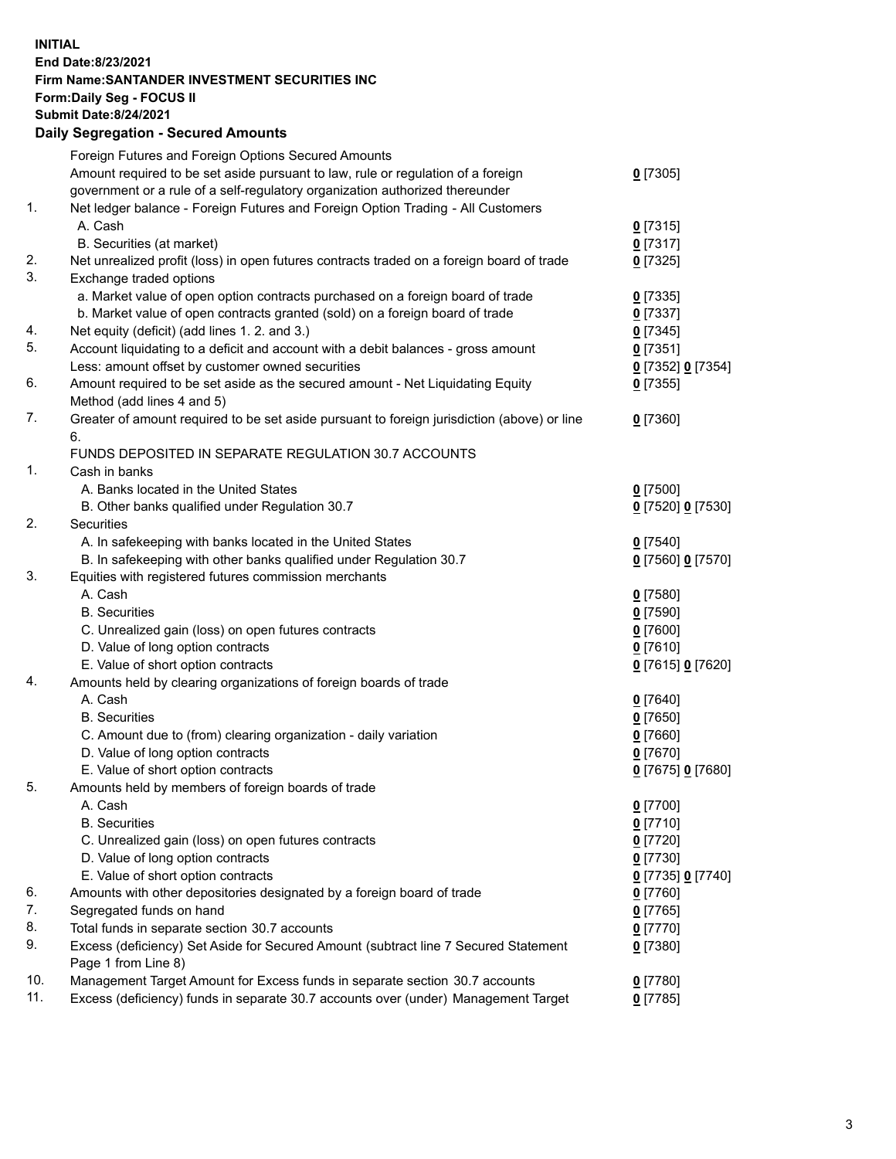**INITIAL End Date:8/23/2021 Firm Name:SANTANDER INVESTMENT SECURITIES INC Form:Daily Seg - FOCUS II Submit Date:8/24/2021 Daily Segregation - Secured Amounts**

|     | Foreign Futures and Foreign Options Secured Amounts                                         |                   |
|-----|---------------------------------------------------------------------------------------------|-------------------|
|     | Amount required to be set aside pursuant to law, rule or regulation of a foreign            | $0$ [7305]        |
|     | government or a rule of a self-regulatory organization authorized thereunder                |                   |
| 1.  | Net ledger balance - Foreign Futures and Foreign Option Trading - All Customers             |                   |
|     | A. Cash                                                                                     | $0$ [7315]        |
|     | B. Securities (at market)                                                                   | $0$ [7317]        |
| 2.  | Net unrealized profit (loss) in open futures contracts traded on a foreign board of trade   | $0$ [7325]        |
| 3.  | Exchange traded options                                                                     |                   |
|     | a. Market value of open option contracts purchased on a foreign board of trade              | $0$ [7335]        |
|     | b. Market value of open contracts granted (sold) on a foreign board of trade                | $0$ [7337]        |
| 4.  | Net equity (deficit) (add lines 1. 2. and 3.)                                               | $0$ [7345]        |
| 5.  | Account liquidating to a deficit and account with a debit balances - gross amount           | $0$ [7351]        |
|     | Less: amount offset by customer owned securities                                            | 0 [7352] 0 [7354] |
| 6.  | Amount required to be set aside as the secured amount - Net Liquidating Equity              | $0$ [7355]        |
|     | Method (add lines 4 and 5)                                                                  |                   |
| 7.  | Greater of amount required to be set aside pursuant to foreign jurisdiction (above) or line | $0$ [7360]        |
|     | 6.                                                                                          |                   |
|     | FUNDS DEPOSITED IN SEPARATE REGULATION 30.7 ACCOUNTS                                        |                   |
| 1.  | Cash in banks                                                                               |                   |
|     | A. Banks located in the United States                                                       | $0$ [7500]        |
|     | B. Other banks qualified under Regulation 30.7                                              | 0 [7520] 0 [7530] |
| 2.  | <b>Securities</b>                                                                           |                   |
|     | A. In safekeeping with banks located in the United States                                   | $0$ [7540]        |
|     | B. In safekeeping with other banks qualified under Regulation 30.7                          | 0 [7560] 0 [7570] |
| 3.  | Equities with registered futures commission merchants                                       |                   |
|     | A. Cash                                                                                     | $0$ [7580]        |
|     | <b>B.</b> Securities                                                                        | $0$ [7590]        |
|     | C. Unrealized gain (loss) on open futures contracts                                         | $0$ [7600]        |
|     | D. Value of long option contracts                                                           | $0$ [7610]        |
|     | E. Value of short option contracts                                                          | 0 [7615] 0 [7620] |
| 4.  | Amounts held by clearing organizations of foreign boards of trade                           |                   |
|     | A. Cash                                                                                     | $0$ [7640]        |
|     | <b>B.</b> Securities                                                                        | $0$ [7650]        |
|     | C. Amount due to (from) clearing organization - daily variation                             | $0$ [7660]        |
|     | D. Value of long option contracts                                                           | $0$ [7670]        |
|     | E. Value of short option contracts                                                          | 0 [7675] 0 [7680] |
| 5.  | Amounts held by members of foreign boards of trade                                          |                   |
|     | A. Cash                                                                                     | 0 [7700]          |
|     | <b>B.</b> Securities                                                                        | $0$ [7710]        |
|     | C. Unrealized gain (loss) on open futures contracts                                         | $0$ [7720]        |
|     | D. Value of long option contracts                                                           | $0$ [7730]        |
|     | E. Value of short option contracts                                                          | 0 [7735] 0 [7740] |
| 6.  | Amounts with other depositories designated by a foreign board of trade                      | $0$ [7760]        |
| 7.  | Segregated funds on hand                                                                    | $0$ [7765]        |
| 8.  | Total funds in separate section 30.7 accounts                                               | $0$ [7770]        |
| 9.  | Excess (deficiency) Set Aside for Secured Amount (subtract line 7 Secured Statement         | $0$ [7380]        |
|     | Page 1 from Line 8)                                                                         |                   |
| 10. | Management Target Amount for Excess funds in separate section 30.7 accounts                 | $0$ [7780]        |
| 11. | Excess (deficiency) funds in separate 30.7 accounts over (under) Management Target          | $0$ [7785]        |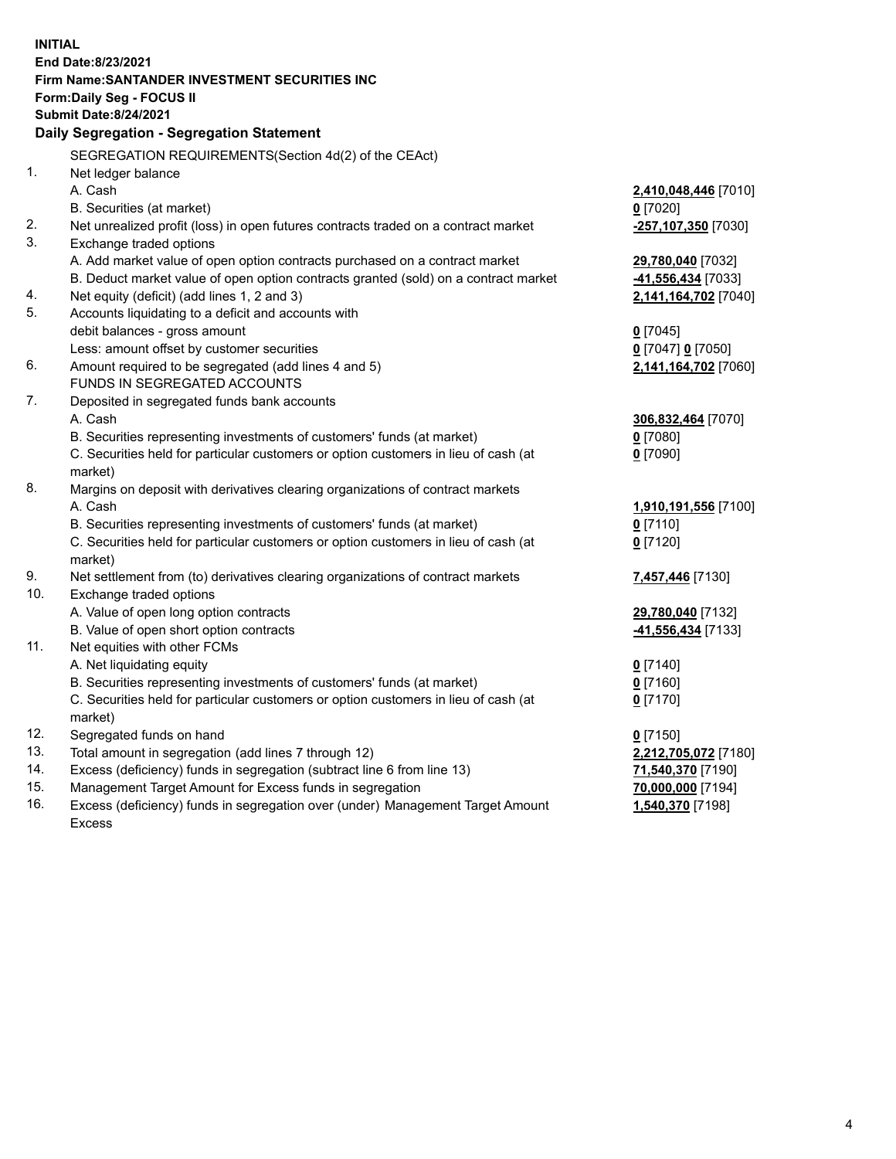| <b>INITIAL</b> | End Date: 8/23/2021<br><b>Firm Name: SANTANDER INVESTMENT SECURITIES INC</b><br><b>Form:Daily Seg - FOCUS II</b><br><b>Submit Date:8/24/2021</b> |                       |
|----------------|--------------------------------------------------------------------------------------------------------------------------------------------------|-----------------------|
|                | Daily Segregation - Segregation Statement                                                                                                        |                       |
|                | SEGREGATION REQUIREMENTS(Section 4d(2) of the CEAct)                                                                                             |                       |
| 1.             | Net ledger balance                                                                                                                               |                       |
|                | A. Cash                                                                                                                                          | 2,410,048,446 [7010]  |
|                | B. Securities (at market)                                                                                                                        | $0$ [7020]            |
| 2.             | Net unrealized profit (loss) in open futures contracts traded on a contract market                                                               | -257,107,350 [7030]   |
| 3.             | Exchange traded options                                                                                                                          |                       |
|                | A. Add market value of open option contracts purchased on a contract market                                                                      | 29,780,040 [7032]     |
|                | B. Deduct market value of open option contracts granted (sold) on a contract market                                                              | -41,556,434 [7033]    |
| 4.             | Net equity (deficit) (add lines 1, 2 and 3)                                                                                                      | 2,141,164,702 [7040]  |
| 5.             | Accounts liquidating to a deficit and accounts with                                                                                              |                       |
|                | debit balances - gross amount                                                                                                                    | $0$ [7045]            |
|                | Less: amount offset by customer securities                                                                                                       | $0$ [7047] $0$ [7050] |
| 6.             | Amount required to be segregated (add lines 4 and 5)                                                                                             | 2,141,164,702 [7060]  |
|                | FUNDS IN SEGREGATED ACCOUNTS                                                                                                                     |                       |
| 7.             | Deposited in segregated funds bank accounts                                                                                                      |                       |
|                | A. Cash                                                                                                                                          | 306,832,464 [7070]    |
|                | B. Securities representing investments of customers' funds (at market)                                                                           | $0$ [7080]            |
|                | C. Securities held for particular customers or option customers in lieu of cash (at                                                              | $0$ [7090]            |
|                | market)                                                                                                                                          |                       |
| 8.             | Margins on deposit with derivatives clearing organizations of contract markets                                                                   |                       |
|                | A. Cash                                                                                                                                          | 1,910,191,556 [7100]  |
|                | B. Securities representing investments of customers' funds (at market)                                                                           | $0$ [7110]            |
|                | C. Securities held for particular customers or option customers in lieu of cash (at                                                              | $0$ [7120]            |
| 9.             | market)                                                                                                                                          |                       |
| 10.            | Net settlement from (to) derivatives clearing organizations of contract markets<br>Exchange traded options                                       | 7,457,446 [7130]      |
|                | A. Value of open long option contracts                                                                                                           | 29,780,040 [7132]     |
|                | B. Value of open short option contracts                                                                                                          | 41,556,434 [7133]     |
| 11.            | Net equities with other FCMs                                                                                                                     |                       |
|                | A. Net liquidating equity                                                                                                                        | $0$ [7140]            |
|                | B. Securities representing investments of customers' funds (at market)                                                                           | $0$ [7160]            |
|                | C. Securities held for particular customers or option customers in lieu of cash (at                                                              | $0$ [7170]            |
|                | market)                                                                                                                                          |                       |
| 12.            | Segregated funds on hand                                                                                                                         | $0$ [7150]            |
| 13.            | Total amount in segregation (add lines 7 through 12)                                                                                             | 2,212,705,072 [7180]  |
| 14.            | Excess (deficiency) funds in segregation (subtract line 6 from line 13)                                                                          | 71,540,370 [7190]     |
| 15.            | Management Target Amount for Excess funds in segregation                                                                                         | 70,000,000 [7194]     |
| 16.            | Excess (deficiency) funds in segregation over (under) Management Target Amount                                                                   | 1,540,370 [7198]      |
|                | Excess                                                                                                                                           |                       |